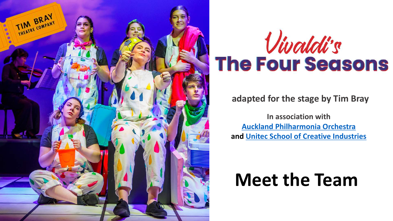

# Vivaldi's The Four Seasons

#### **adapted for the stage by Tim Bray**

**In association with [Auckland Philharmonia Orchestra](https://www.facebook.com/aporchestra?__cft__%5b0%5d=AZVPD8cY37wl96YCtQFEcVNeMzc4K-7DESY5AmZZulZ8vI_B663dkS49OLPMb4vfpEzCbbRHx2eiRMxsj0mj3cqrhCuTr30voBClPIh9TLKnuPEiodEBuJCVkwT1H4qTcySQBBdRmCJ4Lq9j4h7Uy1Wdcl3L_KOFNh47DSXtNxW_mZURE_e0c56XEeOXoRaq06w&__tn__=-%5dK-R) and [Unitec School of Creative Industries](https://www.facebook.com/uniteccreative/?__cft__%5b0%5d=AZVPD8cY37wl96YCtQFEcVNeMzc4K-7DESY5AmZZulZ8vI_B663dkS49OLPMb4vfpEzCbbRHx2eiRMxsj0mj3cqrhCuTr30voBClPIh9TLKnuPEiodEBuJCVkwT1H4qTcySQBBdRmCJ4Lq9j4h7Uy1Wdcl3L_KOFNh47DSXtNxW_mZURE_e0c56XEeOXoRaq06w&__tn__=kK-R)**

## **Meet the Team**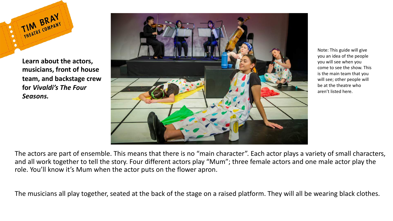

**Learn about the actors, musicians, front of house team, and backstage crew for** *Vivaldi's The Four Seasons.*



Note: This guide will give you an idea of the people you will see when you come to see the show. This is the main team that you will see; other people will be at the theatre who aren't listed here.

The actors are part of ensemble. This means that there is no "main character". Each actor plays a variety of small characters, and all work together to tell the story. Four different actors play "Mum"; three female actors and one male actor play the role. You'll know it's Mum when the actor puts on the flower apron.

The musicians all play together, seated at the back of the stage on a raised platform. They will all be wearing black clothes.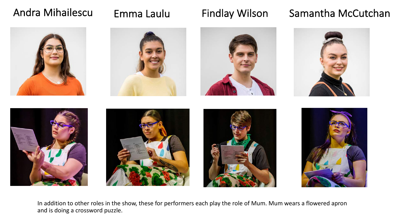### Andra Mihailescu

### Emma Laulu Findlay Wilson Samantha McCutchan



In addition to other roles in the show, these for performers each play the role of Mum. Mum wears a flowered apron and is doing a crossword puzzle.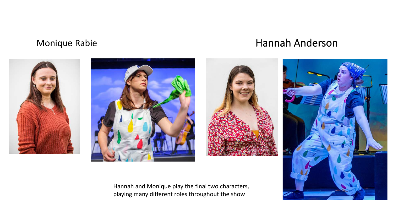#### Monique Rabie **Hannah Anderson**









Hannah and Monique play the final two characters, playing many different roles throughout the show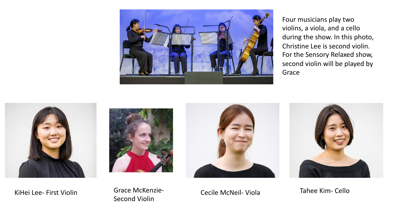

Four musicians play two violins, a viola, and a cello during the show. In this photo, Christine Lee is second violin. For the Sensory Relaxed show, second violin will be played by Grace









KiHei Lee- First Violin **Cance McKenzie-** Cecile McNeil- Viola Second Violin

Tahee Kim- Cello